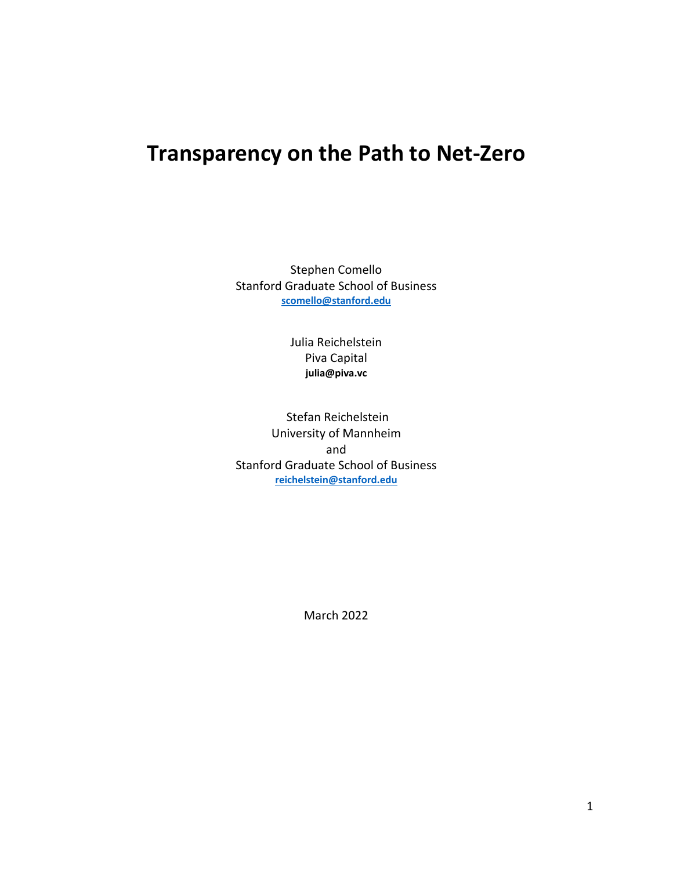# **Transparency on the Path to Net-Zero**

Stephen Comello Stanford Graduate School of Business **[scomello@stanford.edu](mailto:scomello@stanford.edu)**

> Julia Reichelstein Piva Capital **julia@piva.vc**

Stefan Reichelstein University of Mannheim and Stanford Graduate School of Business **[reichelstein@stanford.edu](mailto:reichelstein@stanford.edu)**

March 2022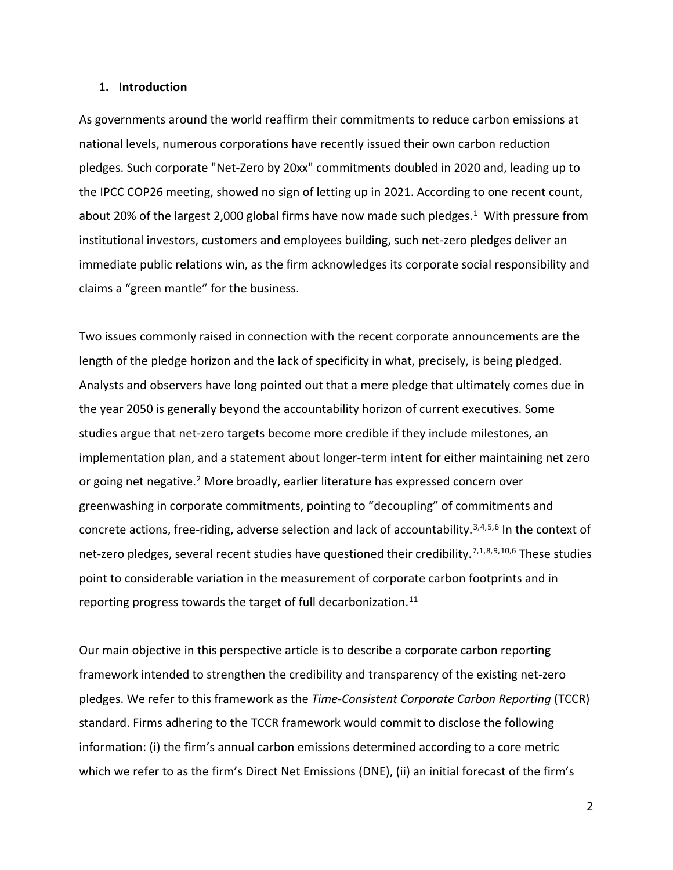#### **1. Introduction**

As governments around the world reaffirm their commitments to reduce carbon emissions at national levels, numerous corporations have recently issued their own carbon reduction pledges. Such corporate "Net-Zero by 20xx" commitments doubled in 2020 and, leading up to the IPCC COP26 meeting, showed no sign of letting up in 2021. According to one recent count, about 20% of the largest 2,000 global firms have now made such pledges.<sup>[1](#page-16-0)</sup> With pressure from institutional investors, customers and employees building, such net-zero pledges deliver an immediate public relations win, as the firm acknowledges its corporate social responsibility and claims a "green mantle" for the business.

Two issues commonly raised in connection with the recent corporate announcements are the length of the pledge horizon and the lack of specificity in what, precisely, is being pledged. Analysts and observers have long pointed out that a mere pledge that ultimately comes due in the year 2050 is generally beyond the accountability horizon of current executives. Some studies argue that net-zero targets become more credible if they include milestones, an implementation plan, and a statement about longer-term intent for either maintaining net zero or going net negative.<sup>[2](#page-16-1)</sup> More broadly, earlier literature has expressed concern over greenwashing in corporate commitments, pointing to "decoupling" of commitments and concrete actions, free-riding, adverse selection and lack of accountability.<sup>[3,](#page-16-2)[4](#page-16-3),[5,](#page-16-4)[6](#page-16-5)</sup> In the context of net-zero pledges, several recent studies have questioned their credibility.<sup>[7,](#page-16-6)1,[8,](#page-16-7)[9](#page-16-8),[10,](#page-16-9)6</sup> These studies point to considerable variation in the measurement of corporate carbon footprints and in reporting progress towards the target of full decarbonization.<sup>[11](#page-16-10)</sup>

Our main objective in this perspective article is to describe a corporate carbon reporting framework intended to strengthen the credibility and transparency of the existing net-zero pledges. We refer to this framework as the *Time-Consistent Corporate Carbon Reporting* (TCCR) standard. Firms adhering to the TCCR framework would commit to disclose the following information: (i) the firm's annual carbon emissions determined according to a core metric which we refer to as the firm's Direct Net Emissions (DNE), (ii) an initial forecast of the firm's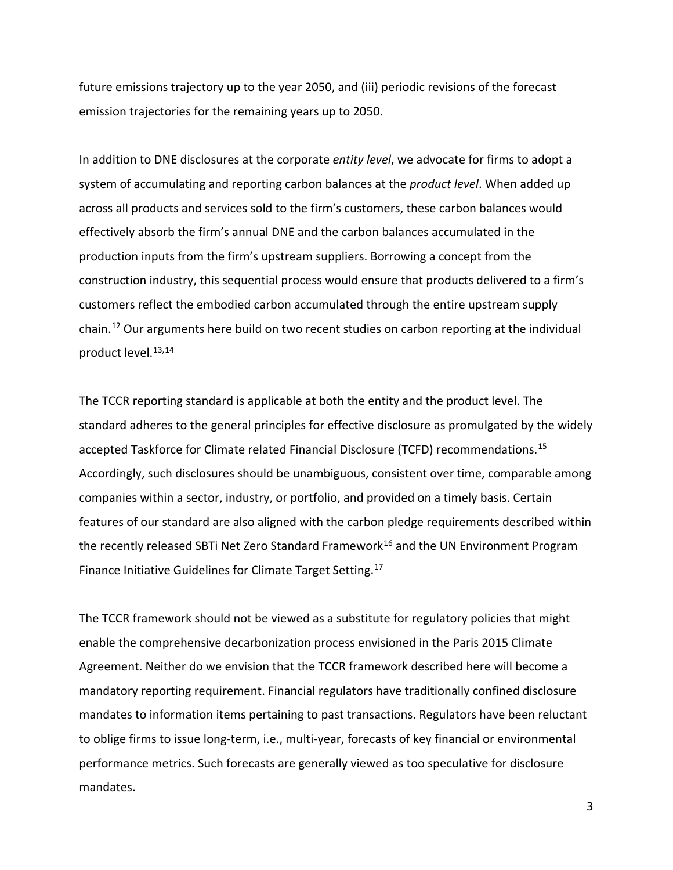future emissions trajectory up to the year 2050, and (iii) periodic revisions of the forecast emission trajectories for the remaining years up to 2050.

In addition to DNE disclosures at the corporate *entity level*, we advocate for firms to adopt a system of accumulating and reporting carbon balances at the *product level*. When added up across all products and services sold to the firm's customers, these carbon balances would effectively absorb the firm's annual DNE and the carbon balances accumulated in the production inputs from the firm's upstream suppliers. Borrowing a concept from the construction industry, this sequential process would ensure that products delivered to a firm's customers reflect the embodied carbon accumulated through the entire upstream supply chain. [12](#page-16-11) Our arguments here build on two recent studies on carbon reporting at the individual product level. [13,](#page-16-12)[14](#page-16-13)

The TCCR reporting standard is applicable at both the entity and the product level. The standard adheres to the general principles for effective disclosure as promulgated by the widely accepted Taskforce for Climate related Financial Disclosure (TCFD) recommendations.[15](#page-16-14) Accordingly, such disclosures should be unambiguous, consistent over time, comparable among companies within a sector, industry, or portfolio, and provided on a timely basis. Certain features of our standard are also aligned with the carbon pledge requirements described within the recently released SBTi Net Zero Standard Framework<sup>[16](#page-16-15)</sup> and the UN Environment Program Finance Initiative Guidelines for Climate Target Setting.<sup>[17](#page-16-16)</sup>

The TCCR framework should not be viewed as a substitute for regulatory policies that might enable the comprehensive decarbonization process envisioned in the Paris 2015 Climate Agreement. Neither do we envision that the TCCR framework described here will become a mandatory reporting requirement. Financial regulators have traditionally confined disclosure mandates to information items pertaining to past transactions. Regulators have been reluctant to oblige firms to issue long-term, i.e., multi-year, forecasts of key financial or environmental performance metrics. Such forecasts are generally viewed as too speculative for disclosure mandates.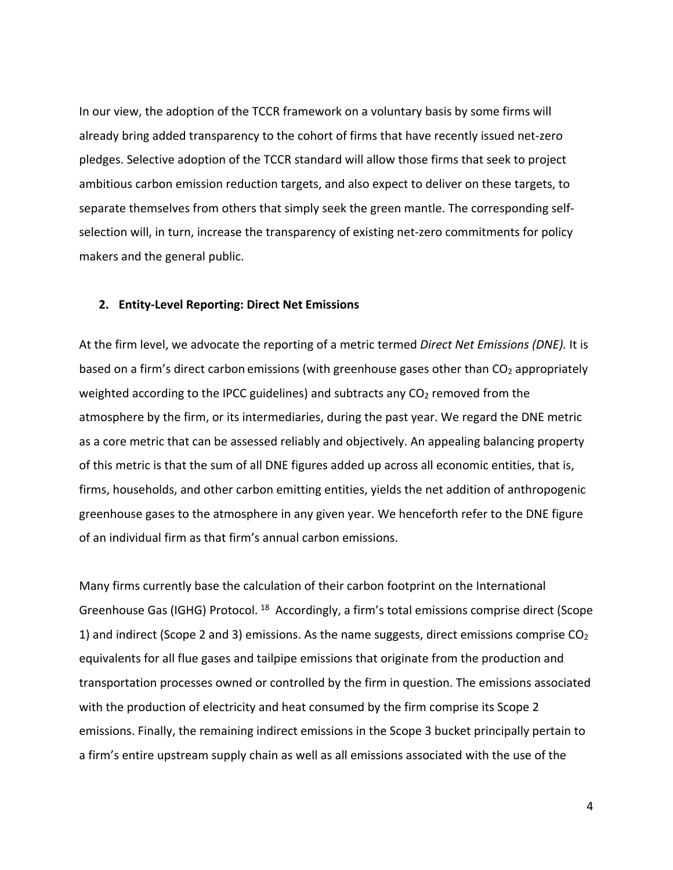In our view, the adoption of the TCCR framework on a voluntary basis by some firms will already bring added transparency to the cohort of firms that have recently issued net-zero pledges. Selective adoption of the TCCR standard will allow those firms that seek to project ambitious carbon emission reduction targets, and also expect to deliver on these targets, to separate themselves from others that simply seek the green mantle. The corresponding selfselection will, in turn, increase the transparency of existing net-zero commitments for policy makers and the general public.

#### **2. Entity-Level Reporting: Direct Net Emissions**

At the firm level, we advocate the reporting of a metric termed *Direct Net Emissions (DNE).* It is based on a firm's direct carbon emissions (with greenhouse gases other than CO<sub>2</sub> appropriately weighted according to the IPCC guidelines) and subtracts any CO<sub>2</sub> removed from the atmosphere by the firm, or its intermediaries, during the past year. We regard the DNE metric as a core metric that can be assessed reliably and objectively. An appealing balancing property of this metric is that the sum of all DNE figures added up across all economic entities, that is, firms, households, and other carbon emitting entities, yields the net addition of anthropogenic greenhouse gases to the atmosphere in any given year. We henceforth refer to the DNE figure of an individual firm as that firm's annual carbon emissions.

Many firms currently base the calculation of their carbon footprint on the International Greenhouse Gas (IGHG) Protocol.<sup>[18](#page-16-17)</sup> Accordingly, a firm's total emissions comprise direct (Scope 1) and indirect (Scope 2 and 3) emissions. As the name suggests, direct emissions comprise  $CO<sub>2</sub>$ equivalents for all flue gases and tailpipe emissions that originate from the production and transportation processes owned or controlled by the firm in question. The emissions associated with the production of electricity and heat consumed by the firm comprise its Scope 2 emissions. Finally, the remaining indirect emissions in the Scope 3 bucket principally pertain to a firm's entire upstream supply chain as well as all emissions associated with the use of the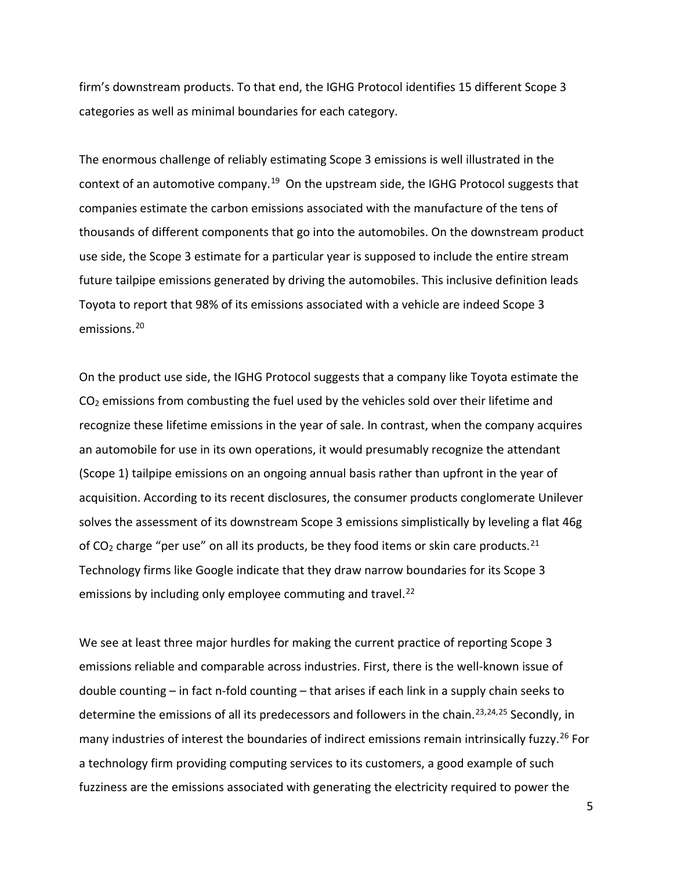firm's downstream products. To that end, the IGHG Protocol identifies 15 different Scope 3 categories as well as minimal boundaries for each category.

The enormous challenge of reliably estimating Scope 3 emissions is well illustrated in the context of an automotive company.<sup>19</sup> On the upstream side, the IGHG Protocol suggests that companies estimate the carbon emissions associated with the manufacture of the tens of thousands of different components that go into the automobiles. On the downstream product use side, the Scope 3 estimate for a particular year is supposed to include the entire stream future tailpipe emissions generated by driving the automobiles. This inclusive definition leads Toyota to report that 98% of its emissions associated with a vehicle are indeed Scope 3 emissions. [20](#page-16-19)

On the product use side, the IGHG Protocol suggests that a company like Toyota estimate the CO2 emissions from combusting the fuel used by the vehicles sold over their lifetime and recognize these lifetime emissions in the year of sale. In contrast, when the company acquires an automobile for use in its own operations, it would presumably recognize the attendant (Scope 1) tailpipe emissions on an ongoing annual basis rather than upfront in the year of acquisition. According to its recent disclosures, the consumer products conglomerate Unilever solves the assessment of its downstream Scope 3 emissions simplistically by leveling a flat 46g of  $CO<sub>2</sub>$  charge "per use" on all its products, be they food items or skin care products.<sup>[21](#page-16-20)</sup> Technology firms like Google indicate that they draw narrow boundaries for its Scope 3 emissions by including only employee commuting and travel.<sup>[22](#page-16-21)</sup>

We see at least three major hurdles for making the current practice of reporting Scope 3 emissions reliable and comparable across industries. First, there is the well-known issue of double counting – in fact n-fold counting – that arises if each link in a supply chain seeks to determine the emissions of all its predecessors and followers in the chain.<sup>[23,](#page-16-22)[24](#page-16-23),[25](#page-16-24)</sup> Secondly, in many industries of interest the boundaries of indirect emissions remain intrinsically fuzzy.<sup>[26](#page-16-25)</sup> For a technology firm providing computing services to its customers, a good example of such fuzziness are the emissions associated with generating the electricity required to power the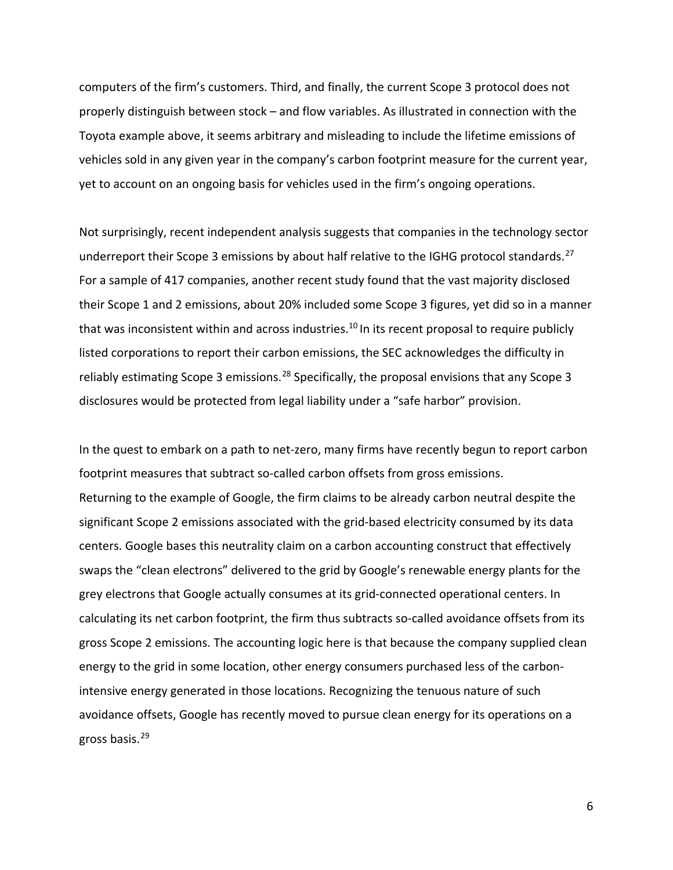computers of the firm's customers. Third, and finally, the current Scope 3 protocol does not properly distinguish between stock – and flow variables. As illustrated in connection with the Toyota example above, it seems arbitrary and misleading to include the lifetime emissions of vehicles sold in any given year in the company's carbon footprint measure for the current year, yet to account on an ongoing basis for vehicles used in the firm's ongoing operations.

Not surprisingly, recent independent analysis suggests that companies in the technology sector underreport their Scope 3 emissions by about half relative to the IGHG protocol standards.<sup>[27](#page-16-26)</sup> For a sample of 417 companies, another recent study found that the vast majority disclosed their Scope 1 and 2 emissions, about 20% included some Scope 3 figures, yet did so in a manner that was inconsistent within and across industries.<sup>10</sup> In its recent proposal to require publicly listed corporations to report their carbon emissions, the SEC acknowledges the difficulty in reliably estimating Scope 3 emissions.<sup>[28](#page-17-0)</sup> Specifically, the proposal envisions that any Scope 3 disclosures would be protected from legal liability under a "safe harbor" provision.

In the quest to embark on a path to net-zero, many firms have recently begun to report carbon footprint measures that subtract so-called carbon offsets from gross emissions. Returning to the example of Google, the firm claims to be already carbon neutral despite the significant Scope 2 emissions associated with the grid-based electricity consumed by its data centers. Google bases this neutrality claim on a carbon accounting construct that effectively swaps the "clean electrons" delivered to the grid by Google's renewable energy plants for the grey electrons that Google actually consumes at its grid-connected operational centers. In calculating its net carbon footprint, the firm thus subtracts so-called avoidance offsets from its gross Scope 2 emissions. The accounting logic here is that because the company supplied clean energy to the grid in some location, other energy consumers purchased less of the carbonintensive energy generated in those locations. Recognizing the tenuous nature of such avoidance offsets, Google has recently moved to pursue clean energy for its operations on a gross basis.[29](#page-17-1)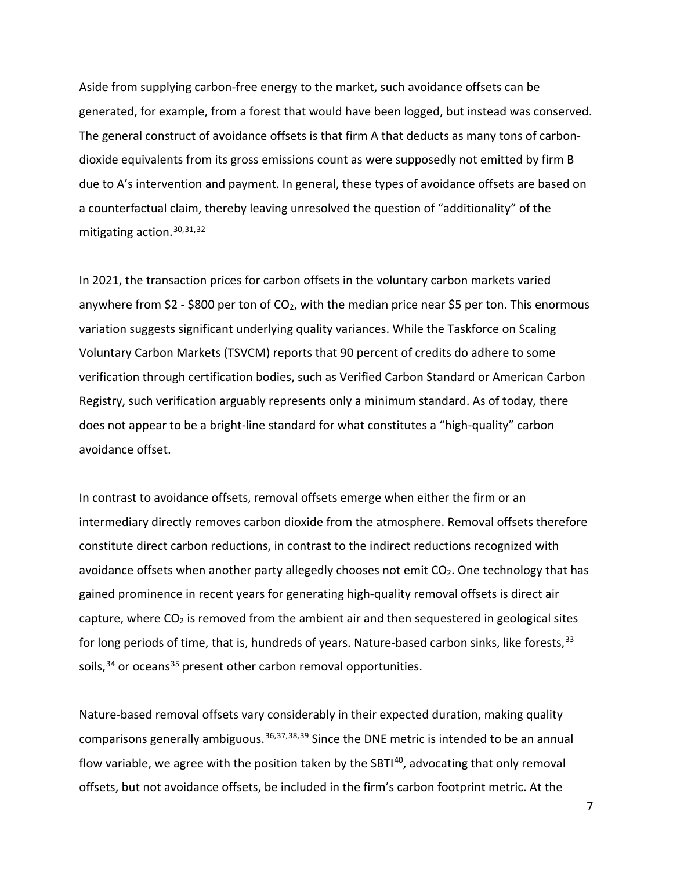Aside from supplying carbon-free energy to the market, such avoidance offsets can be generated, for example, from a forest that would have been logged, but instead was conserved. The general construct of avoidance offsets is that firm A that deducts as many tons of carbondioxide equivalents from its gross emissions count as were supposedly not emitted by firm B due to A's intervention and payment. In general, these types of avoidance offsets are based on a counterfactual claim, thereby leaving unresolved the question of "additionality" of the mitigating action. [30,](#page-17-2)[31](#page-17-3),[32](#page-17-4)

In 2021, the transaction prices for carbon offsets in the voluntary carbon markets varied anywhere from \$2 - \$800 per ton of  $CO<sub>2</sub>$ , with the median price near \$5 per ton. This enormous variation suggests significant underlying quality variances. While the Taskforce on Scaling Voluntary Carbon Markets (TSVCM) reports that 90 percent of credits do adhere to some verification through certification bodies, such as Verified Carbon Standard or American Carbon Registry, such verification arguably represents only a minimum standard. As of today, there does not appear to be a bright-line standard for what constitutes a "high-quality" carbon avoidance offset.

In contrast to avoidance offsets, removal offsets emerge when either the firm or an intermediary directly removes carbon dioxide from the atmosphere. Removal offsets therefore constitute direct carbon reductions, in contrast to the indirect reductions recognized with avoidance offsets when another party allegedly chooses not emit  $CO<sub>2</sub>$ . One technology that has gained prominence in recent years for generating high-quality removal offsets is direct air capture, where  $CO<sub>2</sub>$  is removed from the ambient air and then sequestered in geological sites for long periods of time, that is, hundreds of years. Nature-based carbon sinks, like forests,  $33$ soils,  $34$  or oceans  $35$  present other carbon removal opportunities.

Nature-based removal offsets vary considerably in their expected duration, making quality comparisons generally ambiguous.<sup>[36](#page-17-8),[37,](#page-17-9)[38,](#page-17-10)[39](#page-17-11)</sup> Since the DNE metric is intended to be an annual flow variable, we agree with the position taken by the SBTI $40$ , advocating that only removal offsets, but not avoidance offsets, be included in the firm's carbon footprint metric. At the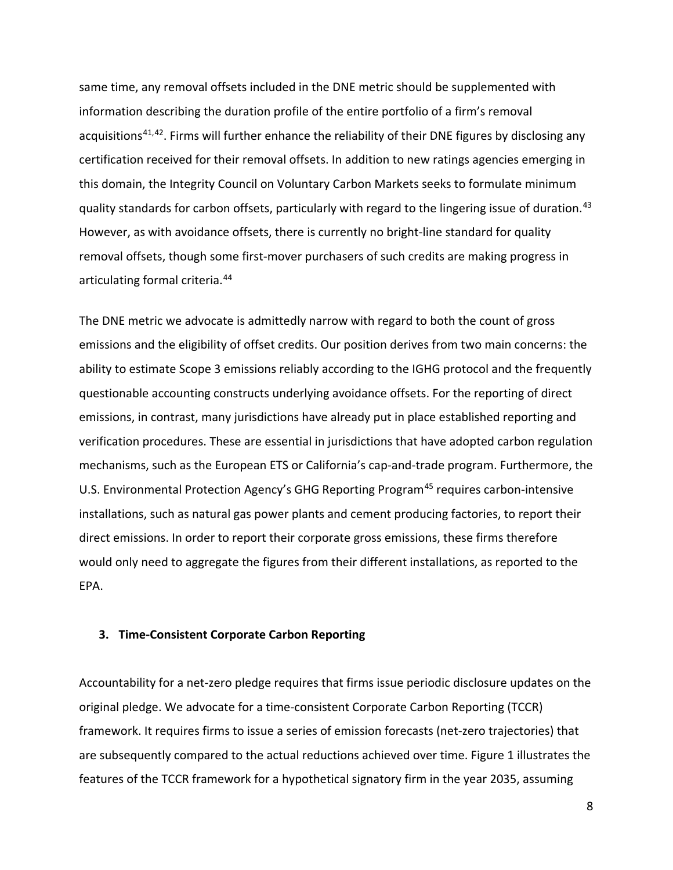same time, any removal offsets included in the DNE metric should be supplemented with information describing the duration profile of the entire portfolio of a firm's removal acquisitions<sup>[41](#page-17-13),42</sup>. Firms will further enhance the reliability of their DNE figures by disclosing any certification received for their removal offsets. In addition to new ratings agencies emerging in this domain, the Integrity Council on Voluntary Carbon Markets seeks to formulate minimum quality standards for carbon offsets, particularly with regard to the lingering issue of duration.<sup>[43](#page-17-15)</sup> However, as with avoidance offsets, there is currently no bright-line standard for quality removal offsets, though some first-mover purchasers of such credits are making progress in articulating formal criteria. [44](#page-17-16)

The DNE metric we advocate is admittedly narrow with regard to both the count of gross emissions and the eligibility of offset credits. Our position derives from two main concerns: the ability to estimate Scope 3 emissions reliably according to the IGHG protocol and the frequently questionable accounting constructs underlying avoidance offsets. For the reporting of direct emissions, in contrast, many jurisdictions have already put in place established reporting and verification procedures. These are essential in jurisdictions that have adopted carbon regulation mechanisms, such as the European ETS or California's cap-and-trade program. Furthermore, the U.S. Environmental Protection Agency's GHG Reporting Program<sup>[45](#page-17-17)</sup> requires carbon-intensive installations, such as natural gas power plants and cement producing factories, to report their direct emissions. In order to report their corporate gross emissions, these firms therefore would only need to aggregate the figures from their different installations, as reported to the EPA.

## **3. Time-Consistent Corporate Carbon Reporting**

Accountability for a net-zero pledge requires that firms issue periodic disclosure updates on the original pledge. We advocate for a time-consistent Corporate Carbon Reporting (TCCR) framework. It requires firms to issue a series of emission forecasts (net-zero trajectories) that are subsequently compared to the actual reductions achieved over time. Figure 1 illustrates the features of the TCCR framework for a hypothetical signatory firm in the year 2035, assuming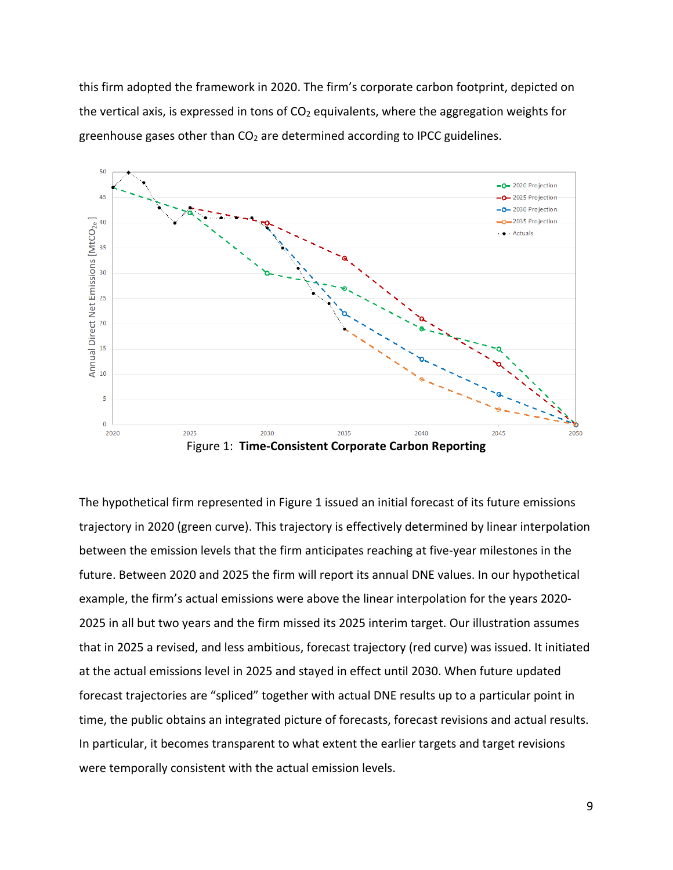this firm adopted the framework in 2020. The firm's corporate carbon footprint, depicted on the vertical axis, is expressed in tons of  $CO<sub>2</sub>$  equivalents, where the aggregation weights for greenhouse gases other than  $CO<sub>2</sub>$  are determined according to IPCC guidelines.



Figure 1: **Time-Consistent Corporate Carbon Reporting**

The hypothetical firm represented in Figure 1 issued an initial forecast of its future emissions trajectory in 2020 (green curve). This trajectory is effectively determined by linear interpolation between the emission levels that the firm anticipates reaching at five-year milestones in the future. Between 2020 and 2025 the firm will report its annual DNE values. In our hypothetical example, the firm's actual emissions were above the linear interpolation for the years 2020- 2025 in all but two years and the firm missed its 2025 interim target. Our illustration assumes that in 2025 a revised, and less ambitious, forecast trajectory (red curve) was issued. It initiated at the actual emissions level in 2025 and stayed in effect until 2030. When future updated forecast trajectories are "spliced" together with actual DNE results up to a particular point in time, the public obtains an integrated picture of forecasts, forecast revisions and actual results. In particular, it becomes transparent to what extent the earlier targets and target revisions were temporally consistent with the actual emission levels.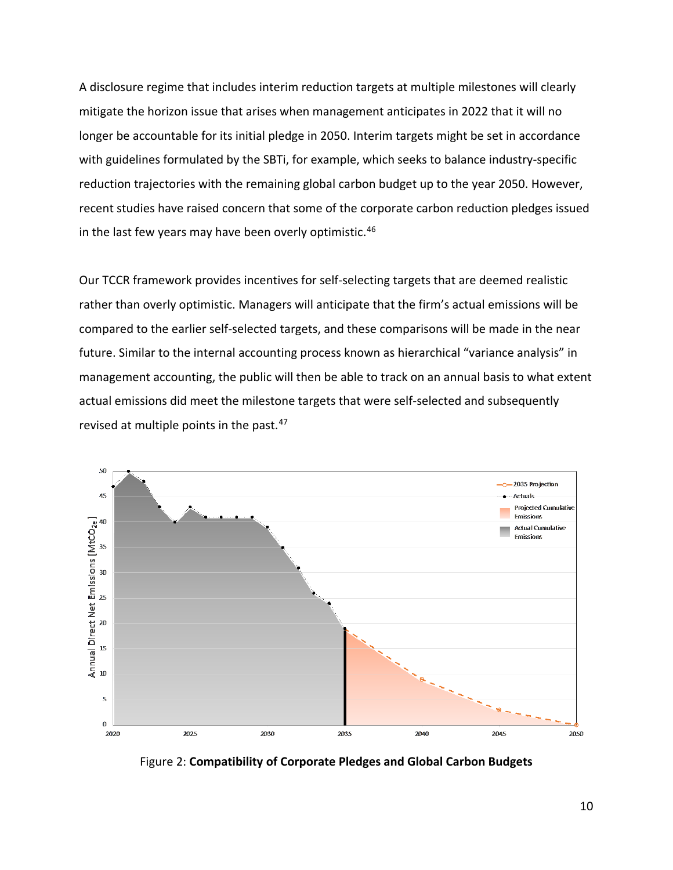A disclosure regime that includes interim reduction targets at multiple milestones will clearly mitigate the horizon issue that arises when management anticipates in 2022 that it will no longer be accountable for its initial pledge in 2050. Interim targets might be set in accordance with guidelines formulated by the SBTi, for example, which seeks to balance industry-specific reduction trajectories with the remaining global carbon budget up to the year 2050. However, recent studies have raised concern that some of the corporate carbon reduction pledges issued in the last few years may have been overly optimistic.<sup>[46](#page-17-18)</sup>

Our TCCR framework provides incentives for self-selecting targets that are deemed realistic rather than overly optimistic. Managers will anticipate that the firm's actual emissions will be compared to the earlier self-selected targets, and these comparisons will be made in the near future. Similar to the internal accounting process known as hierarchical "variance analysis" in management accounting, the public will then be able to track on an annual basis to what extent actual emissions did meet the milestone targets that were self-selected and subsequently revised at multiple points in the past.<sup>47</sup>



Figure 2: **Compatibility of Corporate Pledges and Global Carbon Budgets**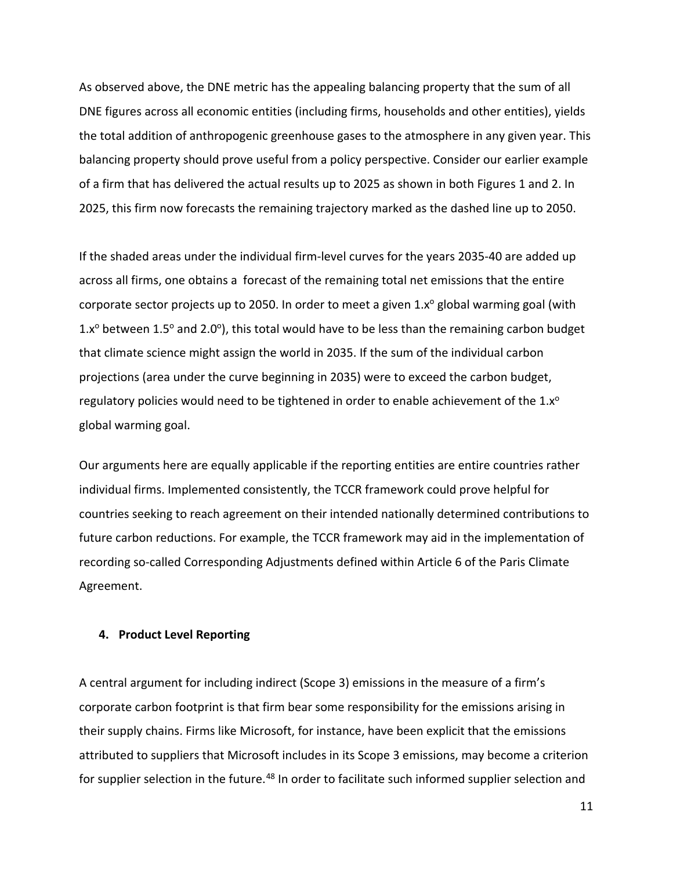As observed above, the DNE metric has the appealing balancing property that the sum of all DNE figures across all economic entities (including firms, households and other entities), yields the total addition of anthropogenic greenhouse gases to the atmosphere in any given year. This balancing property should prove useful from a policy perspective. Consider our earlier example of a firm that has delivered the actual results up to 2025 as shown in both Figures 1 and 2. In 2025, this firm now forecasts the remaining trajectory marked as the dashed line up to 2050.

If the shaded areas under the individual firm-level curves for the years 2035-40 are added up across all firms, one obtains a forecast of the remaining total net emissions that the entire corporate sector projects up to 2050. In order to meet a given  $1.x^{\circ}$  global warming goal (with 1. $x^{\circ}$  between 1.5° and 2.0°), this total would have to be less than the remaining carbon budget that climate science might assign the world in 2035. If the sum of the individual carbon projections (area under the curve beginning in 2035) were to exceed the carbon budget, regulatory policies would need to be tightened in order to enable achievement of the  $1.x^{\circ}$ global warming goal.

Our arguments here are equally applicable if the reporting entities are entire countries rather individual firms. Implemented consistently, the TCCR framework could prove helpful for countries seeking to reach agreement on their intended nationally determined contributions to future carbon reductions. For example, the TCCR framework may aid in the implementation of recording so-called Corresponding Adjustments defined within Article 6 of the Paris Climate Agreement.

## **4. Product Level Reporting**

A central argument for including indirect (Scope 3) emissions in the measure of a firm's corporate carbon footprint is that firm bear some responsibility for the emissions arising in their supply chains. Firms like Microsoft, for instance, have been explicit that the emissions attributed to suppliers that Microsoft includes in its Scope 3 emissions, may become a criterion for supplier selection in the future.<sup>[48](#page-17-20)</sup> In order to facilitate such informed supplier selection and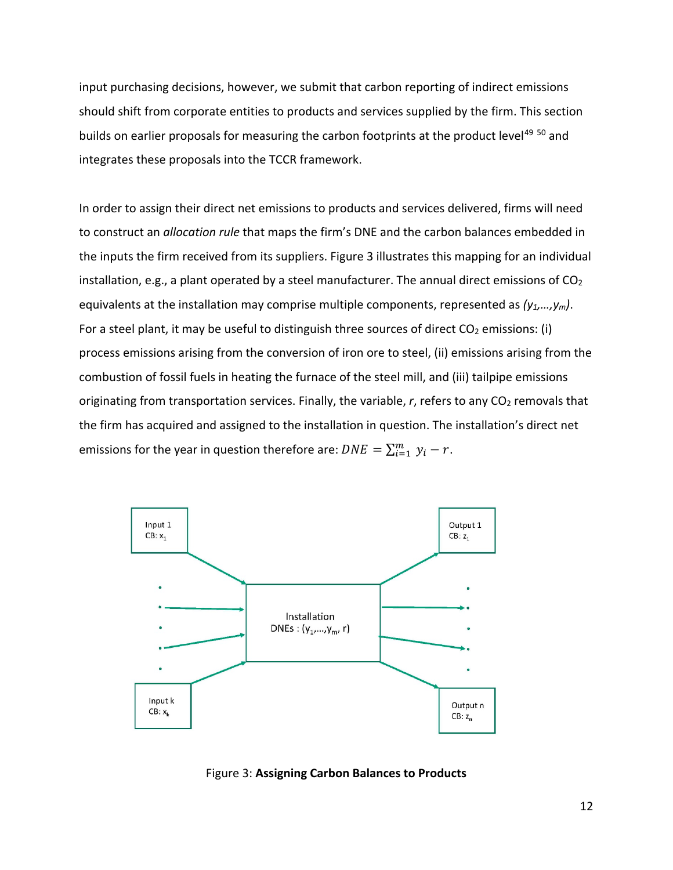input purchasing decisions, however, we submit that carbon reporting of indirect emissions should shift from corporate entities to products and services supplied by the firm. This section builds on earlier proposals for measuring the carbon footprints at the product level<sup>[49](#page-17-21) [50](#page-17-22)</sup> and integrates these proposals into the TCCR framework.

In order to assign their direct net emissions to products and services delivered, firms will need to construct an *allocation rule* that maps the firm's DNE and the carbon balances embedded in the inputs the firm received from its suppliers. Figure 3 illustrates this mapping for an individual installation, e.g., a plant operated by a steel manufacturer. The annual direct emissions of  $CO<sub>2</sub>$ equivalents at the installation may comprise multiple components, represented as *(y1,…,ym)*. For a steel plant, it may be useful to distinguish three sources of direct  $CO<sub>2</sub>$  emissions: (i) process emissions arising from the conversion of iron ore to steel, (ii) emissions arising from the combustion of fossil fuels in heating the furnace of the steel mill, and (iii) tailpipe emissions originating from transportation services. Finally, the variable, r, refers to any CO<sub>2</sub> removals that the firm has acquired and assigned to the installation in question. The installation's direct net emissions for the year in question therefore are:  $DNE = \sum_{i=1}^{m} y_i - r$ .



Figure 3: **Assigning Carbon Balances to Products**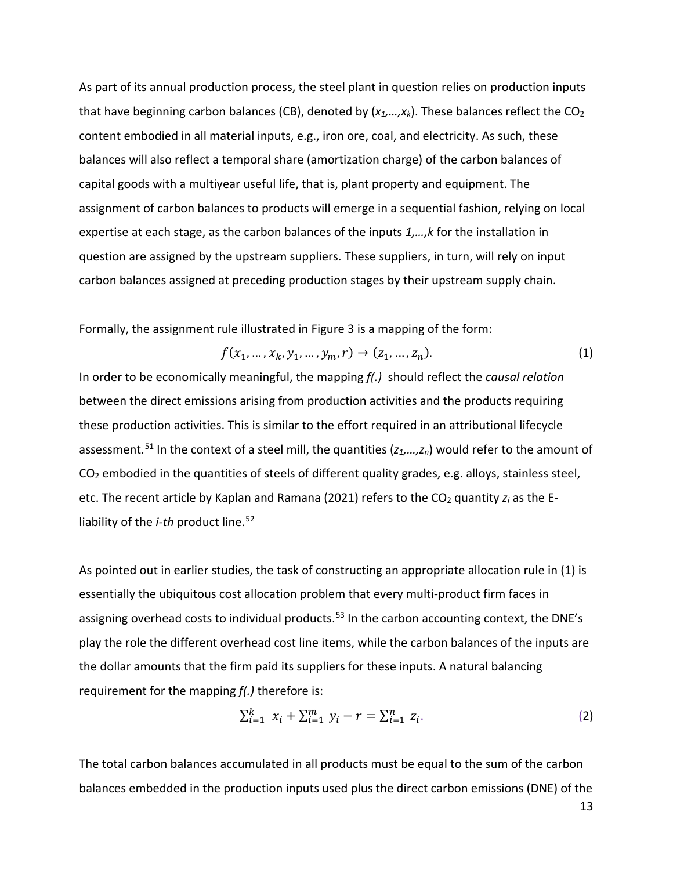As part of its annual production process, the steel plant in question relies on production inputs that have beginning carbon balances (CB), denoted by  $(x_1,...,x_k)$ . These balances reflect the CO<sub>2</sub> content embodied in all material inputs, e.g., iron ore, coal, and electricity. As such, these balances will also reflect a temporal share (amortization charge) of the carbon balances of capital goods with a multiyear useful life, that is, plant property and equipment. The assignment of carbon balances to products will emerge in a sequential fashion, relying on local expertise at each stage, as the carbon balances of the inputs *1,…,k* for the installation in question are assigned by the upstream suppliers. These suppliers, in turn, will rely on input carbon balances assigned at preceding production stages by their upstream supply chain.

Formally, the assignment rule illustrated in Figure 3 is a mapping of the form:

$$
f(x_1, ..., x_k, y_1, ..., y_m, r) \to (z_1, ..., z_n).
$$
 (1)

In order to be economically meaningful, the mapping *f(.)* should reflect the *causal relation* between the direct emissions arising from production activities and the products requiring these production activities. This is similar to the effort required in an attributional lifecycle assessment.[51](#page-17-23) In the context of a steel mill, the quantities (*z1,…,zn*) would refer to the amount of  $CO<sub>2</sub>$  embodied in the quantities of steels of different quality grades, e.g. alloys, stainless steel, etc. The recent article by Kaplan and Ramana (2021) refers to the CO<sub>2</sub> quantity  $z_i$  as the Eliability of the *i-th* product line.<sup>[52](#page-17-24)</sup>

As pointed out in earlier studies, the task of constructing an appropriate allocation rule in (1) is essentially the ubiquitous cost allocation problem that every multi-product firm faces in assigning overhead costs to individual products.<sup>[53](#page-17-25)</sup> In the carbon accounting context, the DNE's play the role the different overhead cost line items, while the carbon balances of the inputs are the dollar amounts that the firm paid its suppliers for these inputs. A natural balancing requirement for the mapping *f(.)* therefore is:

$$
\sum_{i=1}^{k} x_i + \sum_{i=1}^{m} y_i - r = \sum_{i=1}^{n} z_i.
$$
 (2)

The total carbon balances accumulated in all products must be equal to the sum of the carbon balances embedded in the production inputs used plus the direct carbon emissions (DNE) of the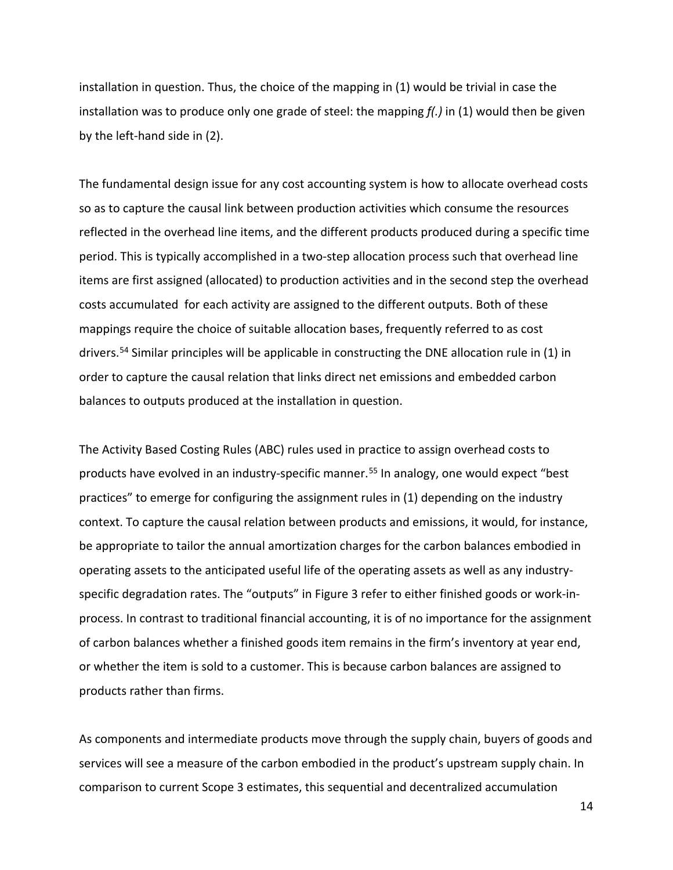installation in question. Thus, the choice of the mapping in (1) would be trivial in case the installation was to produce only one grade of steel: the mapping *f(.)* in (1) would then be given by the left-hand side in (2).

The fundamental design issue for any cost accounting system is how to allocate overhead costs so as to capture the causal link between production activities which consume the resources reflected in the overhead line items, and the different products produced during a specific time period. This is typically accomplished in a two-step allocation process such that overhead line items are first assigned (allocated) to production activities and in the second step the overhead costs accumulated for each activity are assigned to the different outputs. Both of these mappings require the choice of suitable allocation bases, frequently referred to as cost drivers.[54](#page-17-26) Similar principles will be applicable in constructing the DNE allocation rule in (1) in order to capture the causal relation that links direct net emissions and embedded carbon balances to outputs produced at the installation in question.

The Activity Based Costing Rules (ABC) rules used in practice to assign overhead costs to products have evolved in an industry-specific manner. [55](#page-17-27) In analogy, one would expect "best practices" to emerge for configuring the assignment rules in (1) depending on the industry context. To capture the causal relation between products and emissions, it would, for instance, be appropriate to tailor the annual amortization charges for the carbon balances embodied in operating assets to the anticipated useful life of the operating assets as well as any industryspecific degradation rates. The "outputs" in Figure 3 refer to either finished goods or work-inprocess. In contrast to traditional financial accounting, it is of no importance for the assignment of carbon balances whether a finished goods item remains in the firm's inventory at year end, or whether the item is sold to a customer. This is because carbon balances are assigned to products rather than firms.

As components and intermediate products move through the supply chain, buyers of goods and services will see a measure of the carbon embodied in the product's upstream supply chain. In comparison to current Scope 3 estimates, this sequential and decentralized accumulation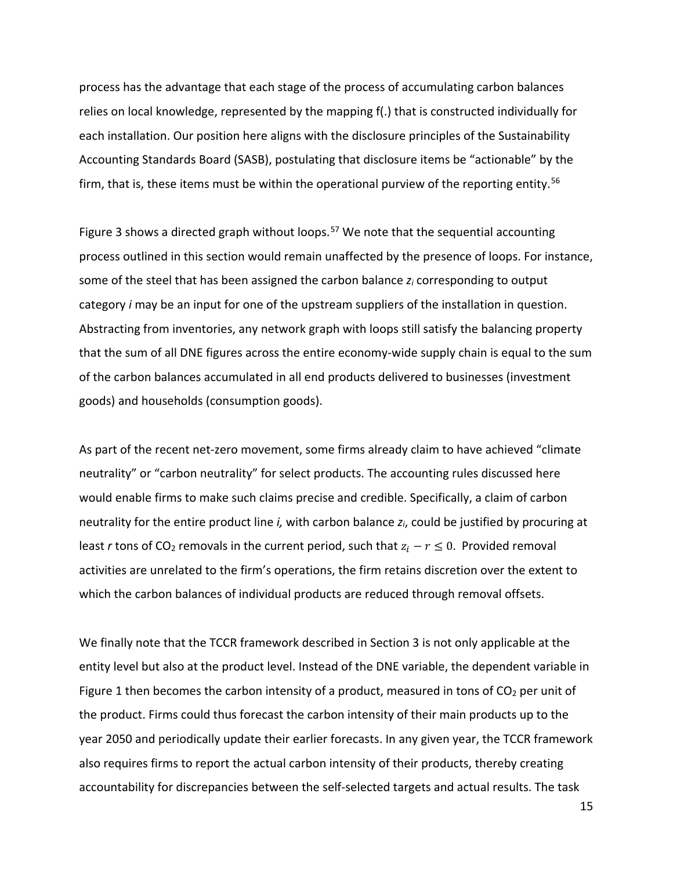process has the advantage that each stage of the process of accumulating carbon balances relies on local knowledge, represented by the mapping f(.) that is constructed individually for each installation. Our position here aligns with the disclosure principles of the Sustainability Accounting Standards Board (SASB), postulating that disclosure items be "actionable" by the firm, that is, these items must be within the operational purview of the reporting entity.<sup>[56](#page-17-28)</sup>

Figure 3 shows a directed graph without loops.<sup>[57](#page-17-29)</sup> We note that the sequential accounting process outlined in this section would remain unaffected by the presence of loops. For instance, some of the steel that has been assigned the carbon balance *zi* corresponding to output category *i* may be an input for one of the upstream suppliers of the installation in question. Abstracting from inventories, any network graph with loops still satisfy the balancing property that the sum of all DNE figures across the entire economy-wide supply chain is equal to the sum of the carbon balances accumulated in all end products delivered to businesses (investment goods) and households (consumption goods).

As part of the recent net-zero movement, some firms already claim to have achieved "climate neutrality" or "carbon neutrality" for select products. The accounting rules discussed here would enable firms to make such claims precise and credible. Specifically, a claim of carbon neutrality for the entire product line *i,* with carbon balance *zi*, could be justified by procuring at least *r* tons of CO<sub>2</sub> removals in the current period, such that  $z_i - r \leq 0$ . Provided removal activities are unrelated to the firm's operations, the firm retains discretion over the extent to which the carbon balances of individual products are reduced through removal offsets.

We finally note that the TCCR framework described in Section 3 is not only applicable at the entity level but also at the product level. Instead of the DNE variable, the dependent variable in Figure 1 then becomes the carbon intensity of a product, measured in tons of  $CO<sub>2</sub>$  per unit of the product. Firms could thus forecast the carbon intensity of their main products up to the year 2050 and periodically update their earlier forecasts. In any given year, the TCCR framework also requires firms to report the actual carbon intensity of their products, thereby creating accountability for discrepancies between the self-selected targets and actual results. The task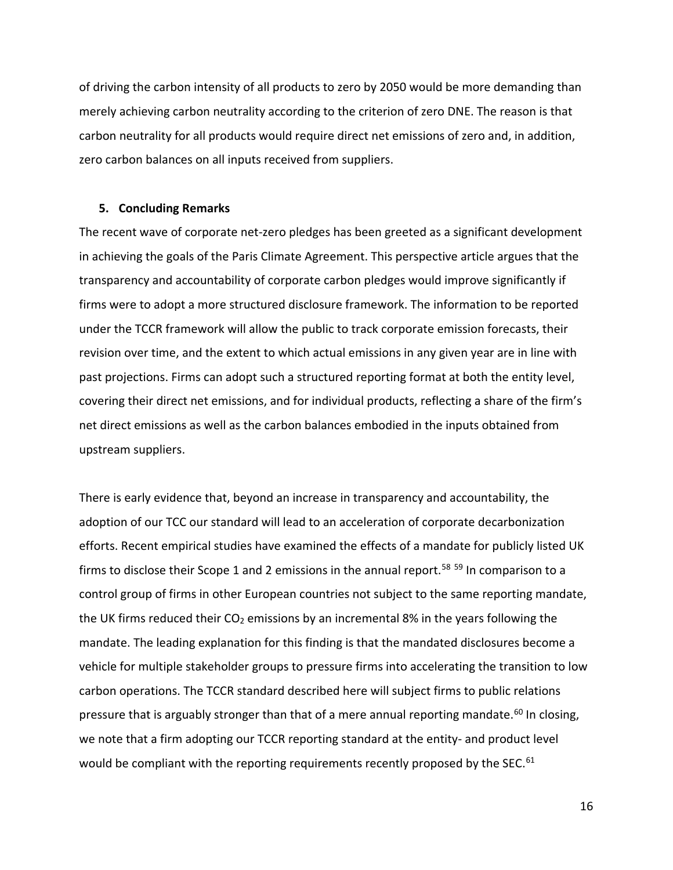of driving the carbon intensity of all products to zero by 2050 would be more demanding than merely achieving carbon neutrality according to the criterion of zero DNE. The reason is that carbon neutrality for all products would require direct net emissions of zero and, in addition, zero carbon balances on all inputs received from suppliers.

#### **5. Concluding Remarks**

The recent wave of corporate net-zero pledges has been greeted as a significant development in achieving the goals of the Paris Climate Agreement. This perspective article argues that the transparency and accountability of corporate carbon pledges would improve significantly if firms were to adopt a more structured disclosure framework. The information to be reported under the TCCR framework will allow the public to track corporate emission forecasts, their revision over time, and the extent to which actual emissions in any given year are in line with past projections. Firms can adopt such a structured reporting format at both the entity level, covering their direct net emissions, and for individual products, reflecting a share of the firm's net direct emissions as well as the carbon balances embodied in the inputs obtained from upstream suppliers.

There is early evidence that, beyond an increase in transparency and accountability, the adoption of our TCC our standard will lead to an acceleration of corporate decarbonization efforts. Recent empirical studies have examined the effects of a mandate for publicly listed UK firms to disclose their Scope 1 and 2 emissions in the annual report.<sup>[58](#page-17-30) [59](#page-18-0)</sup> In comparison to a control group of firms in other European countries not subject to the same reporting mandate, the UK firms reduced their  $CO<sub>2</sub>$  emissions by an incremental 8% in the years following the mandate. The leading explanation for this finding is that the mandated disclosures become a vehicle for multiple stakeholder groups to pressure firms into accelerating the transition to low carbon operations. The TCCR standard described here will subject firms to public relations pressure that is arguably stronger than that of a mere annual reporting mandate.<sup>[60](#page-18-1)</sup> In closing, we note that a firm adopting our TCCR reporting standard at the entity- and product level would be compliant with the reporting requirements recently proposed by the SEC.<sup>[61](#page-18-2)</sup>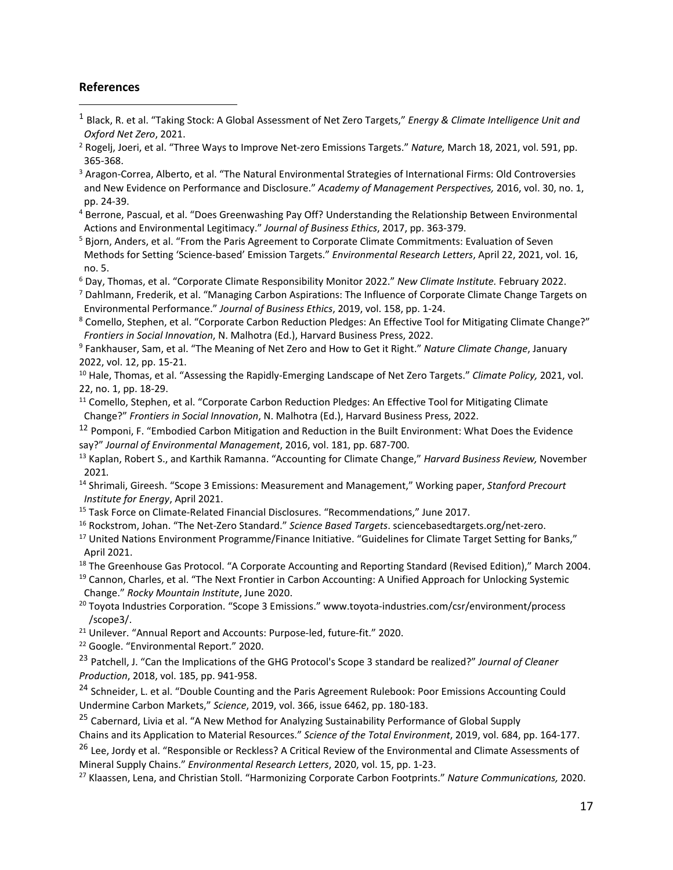## **References**

 $\overline{a}$ 

- <span id="page-16-0"></span><sup>1</sup> Black, R. et al. "Taking Stock: A Global Assessment of Net Zero Targets," *Energy & Climate Intelligence Unit and Oxford Net Zero*, 2021.
- <span id="page-16-1"></span><sup>2</sup> Rogelj, Joeri, et al. "Three Ways to Improve Net-zero Emissions Targets." *Nature,* March 18, 2021, vol. 591, pp. 365-368.
- <span id="page-16-2"></span><sup>3</sup> Aragon-Correa, Alberto, et al. "The Natural Environmental Strategies of International Firms: Old Controversies and New Evidence on Performance and Disclosure." *Academy of Management Perspectives,* 2016, vol. 30, no. 1, pp. 24-39.
- <span id="page-16-3"></span><sup>4</sup> Berrone, Pascual, et al. "Does Greenwashing Pay Off? Understanding the Relationship Between Environmental Actions and Environmental Legitimacy." *Journal of Business Ethics*, 2017, pp. 363-379.
- <span id="page-16-4"></span><sup>5</sup> Bjorn, Anders, et al. "From the Paris Agreement to Corporate Climate Commitments: Evaluation of Seven Methods for Setting 'Science-based' Emission Targets." *Environmental Research Letters*, April 22, 2021, vol. 16, no. 5.
- <span id="page-16-5"></span><sup>6</sup> Day, Thomas, et al. "Corporate Climate Responsibility Monitor 2022." *New Climate Institute.* February 2022.
- <span id="page-16-6"></span><sup>7</sup> Dahlmann, Frederik, et al. "Managing Carbon Aspirations: The Influence of Corporate Climate Change Targets on Environmental Performance." *Journal of Business Ethics*, 2019, vol. 158, pp. 1-24.
- <span id="page-16-7"></span><sup>8</sup> Comello, Stephen, et al. "Corporate Carbon Reduction Pledges: An Effective Tool for Mitigating Climate Change?" *Frontiers in Social Innovation*, N. Malhotra (Ed.), Harvard Business Press, 2022.
- <span id="page-16-8"></span><sup>9</sup> Fankhauser, Sam, et al. "The Meaning of Net Zero and How to Get it Right." *Nature Climate Change*, January 2022, vol. 12, pp. 15-21.
- <span id="page-16-9"></span><sup>10</sup> Hale, Thomas, et al. "Assessing the Rapidly-Emerging Landscape of Net Zero Targets." *Climate Policy,* 2021, vol. 22, no. 1, pp. 18-29.
- <span id="page-16-10"></span><sup>11</sup> Comello, Stephen, et al. "Corporate Carbon Reduction Pledges: An Effective Tool for Mitigating Climate Change?" *Frontiers in Social Innovation*, N. Malhotra (Ed.), Harvard Business Press, 2022.
- <span id="page-16-11"></span><sup>12</sup> Pomponi, F. "Embodied Carbon Mitigation and Reduction in the Built Environment: What Does the Evidence say?" *Journal of Environmental Management*, 2016, vol. 181, pp. 687-700.
- <span id="page-16-12"></span><sup>13</sup> Kaplan, Robert S., and Karthik Ramanna. "Accounting for Climate Change," *Harvard Business Review,* November 2021*.*
- <span id="page-16-13"></span><sup>14</sup> Shrimali, Gireesh. "Scope 3 Emissions: Measurement and Management," Working paper, *Stanford Precourt Institute for Energy*, April 2021.
- <span id="page-16-14"></span><sup>15</sup> Task Force on Climate-Related Financial Disclosures. "Recommendations," June 2017.
- <span id="page-16-15"></span><sup>16</sup> Rockstrom, Johan. "The Net-Zero Standard." *Science Based Targets*. sciencebasedtargets.org/net-zero.
- <span id="page-16-16"></span><sup>17</sup> United Nations Environment Programme/Finance Initiative. "Guidelines for Climate Target Setting for Banks," April 2021.
- <span id="page-16-17"></span><sup>18</sup> The Greenhouse Gas Protocol. "A Corporate Accounting and Reporting Standard (Revised Edition)," March 2004.
- <span id="page-16-18"></span><sup>19</sup> Cannon, Charles, et al. "The Next Frontier in Carbon Accounting: A Unified Approach for Unlocking Systemic Change." *Rocky Mountain Institute*, June 2020.
- <span id="page-16-19"></span><sup>20</sup> Toyota Industries Corporation. "Scope 3 Emissions." www.toyota-industries.com/csr/environment/process /scope3/.
- <span id="page-16-20"></span><sup>21</sup> Unilever. "Annual Report and Accounts: Purpose-led, future-fit." 2020.
- <span id="page-16-21"></span><sup>22</sup> Google. "Environmental Report." 2020.
- <span id="page-16-22"></span><sup>23</sup> Patchell, J. "Can the Implications of the GHG Protocol's Scope 3 standard be realized?" *Journal of Cleaner Production*, 2018, vol. 185, pp. 941-958.
- <span id="page-16-23"></span><sup>24</sup> Schneider, L. et al. "Double Counting and the Paris Agreement Rulebook: Poor Emissions Accounting Could Undermine Carbon Markets," *Science*, 2019, vol. 366, issue 6462, pp. 180-183.
- <span id="page-16-24"></span><sup>25</sup> Cabernard, Livia et al. "A New Method for Analyzing Sustainability Performance of Global Supply Chains and its Application to Material Resources." *Science of the Total Environment*, 2019, vol. 684, pp. 164-177.

<span id="page-16-25"></span><sup>26</sup> Lee, Jordy et al. "Responsible or Reckless? A Critical Review of the Environmental and Climate Assessments of Mineral Supply Chains." *Environmental Research Letters*, 2020, vol. 15, pp. 1-23.

<span id="page-16-26"></span><sup>27</sup> Klaassen, Lena, and Christian Stoll. "Harmonizing Corporate Carbon Footprints." *Nature Communications,* 2020.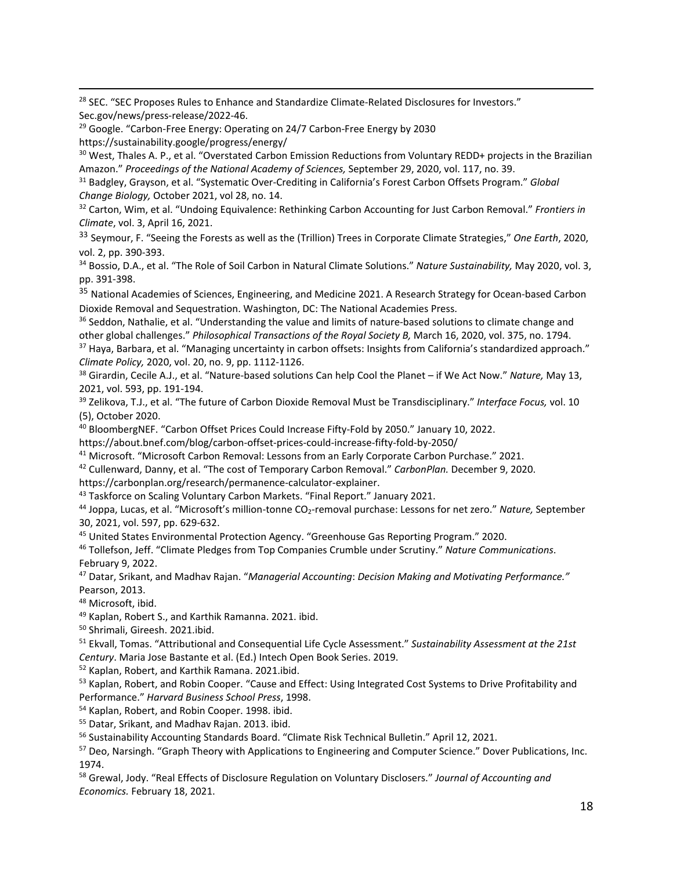<span id="page-17-0"></span><sup>28</sup> SEC. "SEC Proposes Rules to Enhance and Standardize Climate-Related Disclosures for Investors." Sec.gov/news/press-release/2022-46.

<span id="page-17-1"></span><sup>29</sup> Google. "Carbon-Free Energy: Operating on 24/7 Carbon-Free Energy by 2030 https://sustainability.google/progress/energy/

<span id="page-17-2"></span><sup>30</sup> West, Thales A. P., et al. "Overstated Carbon Emission Reductions from Voluntary REDD+ projects in the Brazilian Amazon." *Proceedings of the National Academy of Sciences,* September 29, 2020, vol. 117, no. 39.

<span id="page-17-3"></span><sup>31</sup> Badgley, Grayson, et al. "Systematic Over-Crediting in California's Forest Carbon Offsets Program." *Global Change Biology,* October 2021, vol 28, no. 14.

<span id="page-17-4"></span><sup>32</sup> Carton, Wim, et al. "Undoing Equivalence: Rethinking Carbon Accounting for Just Carbon Removal." *Frontiers in Climate*, vol. 3, April 16, 2021.

<span id="page-17-5"></span><sup>33</sup> Seymour, F. "Seeing the Forests as well as the (Trillion) Trees in Corporate Climate Strategies," *One Earth*, 2020, vol. 2, pp. 390-393.

<span id="page-17-6"></span><sup>34</sup> Bossio, D.A., et al. "The Role of Soil Carbon in Natural Climate Solutions." *Nature Sustainability,* May 2020, vol. 3, pp. 391-398.

<span id="page-17-7"></span><sup>35</sup> National Academies of Sciences, Engineering, and Medicine 2021. A Research Strategy for Ocean-based Carbon Dioxide Removal and Sequestration. Washington, DC: The National Academies Press.

<span id="page-17-8"></span><sup>36</sup> Seddon, Nathalie, et al. "Understanding the value and limits of nature-based solutions to climate change and other global challenges." *Philosophical Transactions of the Royal Society B,* March 16, 2020, vol. 375, no. 1794.

<span id="page-17-9"></span><sup>37</sup> Haya, Barbara, et al. "Managing uncertainty in carbon offsets: Insights from California's standardized approach." *Climate Policy,* 2020, vol. 20, no. 9, pp. 1112-1126.

<span id="page-17-10"></span><sup>38</sup> Girardin, Cecile A.J., et al. "Nature-based solutions Can help Cool the Planet – if We Act Now." *Nature,* May 13, 2021, vol. 593, pp. 191-194.

<span id="page-17-11"></span><sup>39</sup> Zelikova, T.J., et al. "The future of Carbon Dioxide Removal Must be Transdisciplinary." *Interface Focus,* vol. 10 (5), October 2020.

<span id="page-17-12"></span><sup>40</sup> BloombergNEF. "Carbon Offset Prices Could Increase Fifty-Fold by 2050." January 10, 2022.

https://about.bnef.com/blog/carbon-offset-prices-could-increase-fifty-fold-by-2050/

<span id="page-17-13"></span><sup>41</sup> Microsoft. "Microsoft Carbon Removal: Lessons from an Early Corporate Carbon Purchase." 2021.

<span id="page-17-14"></span><sup>42</sup> Cullenward, Danny, et al. "The cost of Temporary Carbon Removal." *CarbonPlan.* December 9, 2020.

https://carbonplan.org/research/permanence-calculator-explainer.

<span id="page-17-15"></span><sup>43</sup> Taskforce on Scaling Voluntary Carbon Markets. "Final Report." January 2021.

<span id="page-17-16"></span><sup>44</sup> Joppa, Lucas, et al. "Microsoft's million-tonne CO2-removal purchase: Lessons for net zero." *Nature,* September 30, 2021, vol. 597, pp. 629-632.

<span id="page-17-17"></span><sup>45</sup> United States Environmental Protection Agency. "Greenhouse Gas Reporting Program." 2020.

<span id="page-17-18"></span><sup>46</sup> Tollefson, Jeff. "Climate Pledges from Top Companies Crumble under Scrutiny." *Nature Communications*. February 9, 2022.

<span id="page-17-19"></span><sup>47</sup> Datar, Srikant, and Madhav Rajan. "*Managerial Accounting*: *Decision Making and Motivating Performance."* Pearson, 2013.

<span id="page-17-20"></span><sup>48</sup> Microsoft, ibid.

<span id="page-17-21"></span><sup>49</sup> Kaplan, Robert S., and Karthik Ramanna. 2021. ibid.

<span id="page-17-22"></span><sup>50</sup> Shrimali, Gireesh. 2021.ibid.

<span id="page-17-23"></span><sup>51</sup> Ekvall, Tomas. "Attributional and Consequential Life Cycle Assessment." *Sustainability Assessment at the 21st Century*. Maria Jose Bastante et al. (Ed.) Intech Open Book Series. 2019.

<span id="page-17-24"></span><sup>52</sup> Kaplan, Robert, and Karthik Ramana. 2021.ibid.

<span id="page-17-25"></span>53 Kaplan, Robert, and Robin Cooper. "Cause and Effect: Using Integrated Cost Systems to Drive Profitability and Performance." *Harvard Business School Press*, 1998.

<span id="page-17-26"></span><sup>54</sup> Kaplan, Robert, and Robin Cooper. 1998. ibid.

<span id="page-17-27"></span><sup>55</sup> Datar, Srikant, and Madhav Rajan. 2013. ibid.

<span id="page-17-28"></span><sup>56</sup> Sustainability Accounting Standards Board. "Climate Risk Technical Bulletin." April 12, 2021.

<span id="page-17-29"></span><sup>57</sup> Deo, Narsingh. "Graph Theory with Applications to Engineering and Computer Science." Dover Publications, Inc. 1974.

<span id="page-17-30"></span><sup>58</sup> Grewal, Jody. "Real Effects of Disclosure Regulation on Voluntary Disclosers." *Journal of Accounting and Economics.* February 18, 2021.